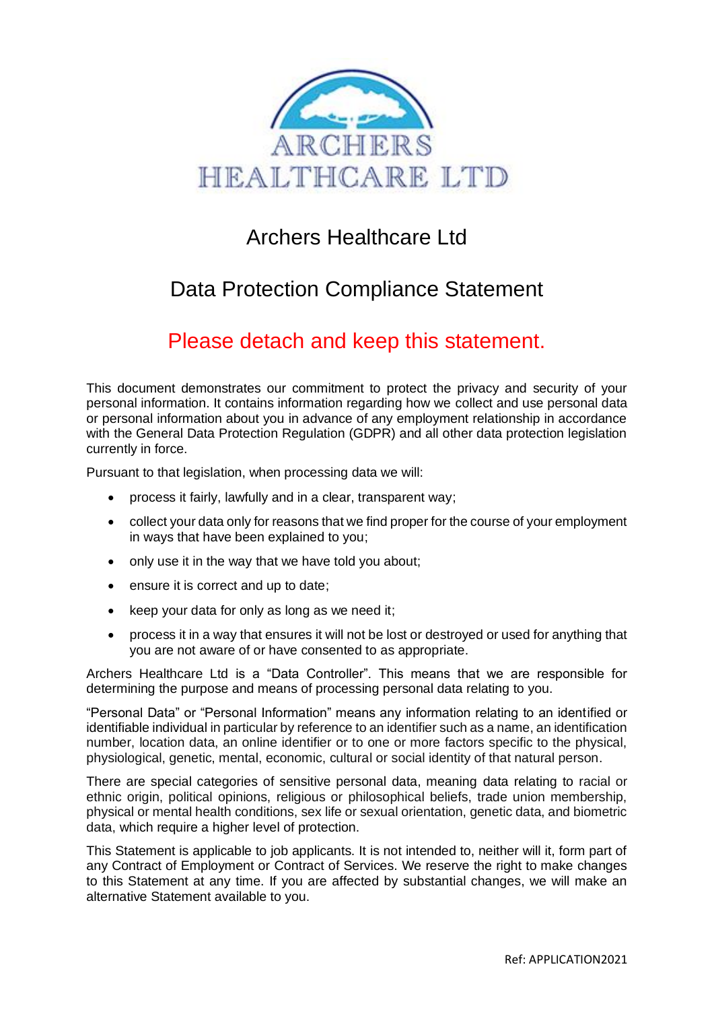

# Archers Healthcare Ltd

# Data Protection Compliance Statement

# Please detach and keep this statement.

This document demonstrates our commitment to protect the privacy and security of your personal information. It contains information regarding how we collect and use personal data or personal information about you in advance of any employment relationship in accordance with the General Data Protection Regulation (GDPR) and all other data protection legislation currently in force.

Pursuant to that legislation, when processing data we will:

- process it fairly, lawfully and in a clear, transparent way;
- collect your data only for reasons that we find proper for the course of your employment in ways that have been explained to you;
- only use it in the way that we have told you about;
- ensure it is correct and up to date:
- keep your data for only as long as we need it;
- process it in a way that ensures it will not be lost or destroyed or used for anything that you are not aware of or have consented to as appropriate.

Archers Healthcare Ltd is a "Data Controller". This means that we are responsible for determining the purpose and means of processing personal data relating to you.

"Personal Data" or "Personal Information" means any information relating to an identified or identifiable individual in particular by reference to an identifier such as a name, an identification number, location data, an online identifier or to one or more factors specific to the physical, physiological, genetic, mental, economic, cultural or social identity of that natural person.

There are special categories of sensitive personal data, meaning data relating to racial or ethnic origin, political opinions, religious or philosophical beliefs, trade union membership, physical or mental health conditions, sex life or sexual orientation, genetic data, and biometric data, which require a higher level of protection.

This Statement is applicable to job applicants. It is not intended to, neither will it, form part of any Contract of Employment or Contract of Services. We reserve the right to make changes to this Statement at any time. If you are affected by substantial changes, we will make an alternative Statement available to you.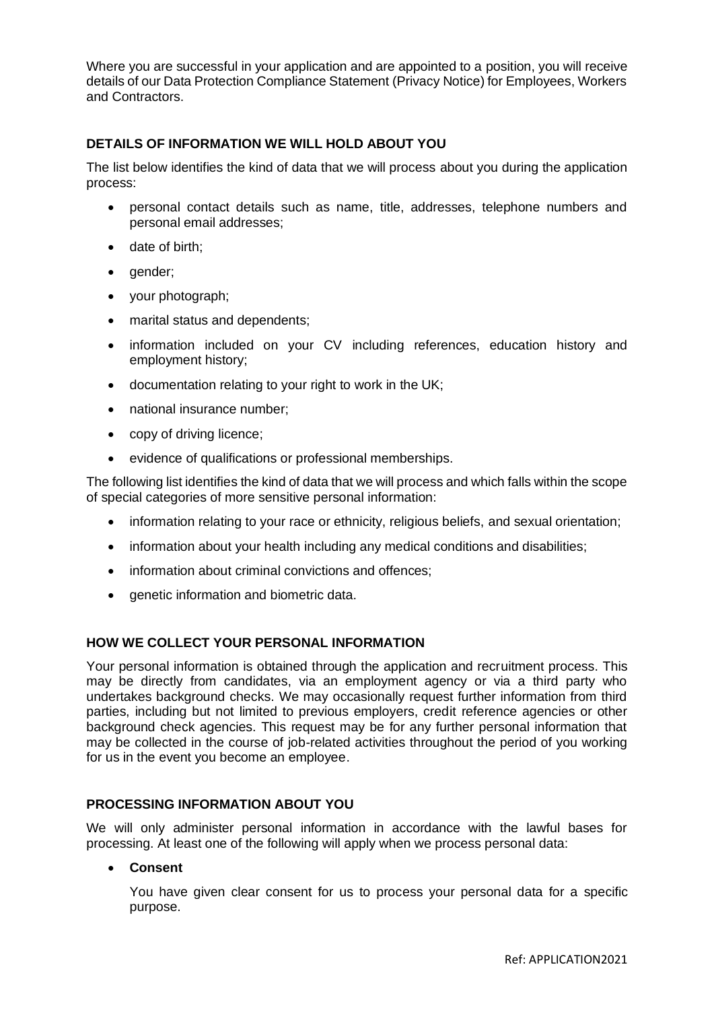Where you are successful in your application and are appointed to a position, you will receive details of our Data Protection Compliance Statement (Privacy Notice) for Employees, Workers and Contractors.

# **DETAILS OF INFORMATION WE WILL HOLD ABOUT YOU**

The list below identifies the kind of data that we will process about you during the application process:

- personal contact details such as name, title, addresses, telephone numbers and personal email addresses;
- date of birth;
- gender;
- your photograph;
- marital status and dependents;
- information included on your CV including references, education history and employment history;
- documentation relating to your right to work in the UK;
- national insurance number;
- copy of driving licence;
- evidence of qualifications or professional memberships.

The following list identifies the kind of data that we will process and which falls within the scope of special categories of more sensitive personal information:

- information relating to your race or ethnicity, religious beliefs, and sexual orientation;
- information about your health including any medical conditions and disabilities;
- information about criminal convictions and offences;
- genetic information and biometric data.

# **HOW WE COLLECT YOUR PERSONAL INFORMATION**

Your personal information is obtained through the application and recruitment process. This may be directly from candidates, via an employment agency or via a third party who undertakes background checks. We may occasionally request further information from third parties, including but not limited to previous employers, credit reference agencies or other background check agencies. This request may be for any further personal information that may be collected in the course of job-related activities throughout the period of you working for us in the event you become an employee.

#### **PROCESSING INFORMATION ABOUT YOU**

We will only administer personal information in accordance with the lawful bases for processing. At least one of the following will apply when we process personal data:

#### • **Consent**

You have given clear consent for us to process your personal data for a specific purpose.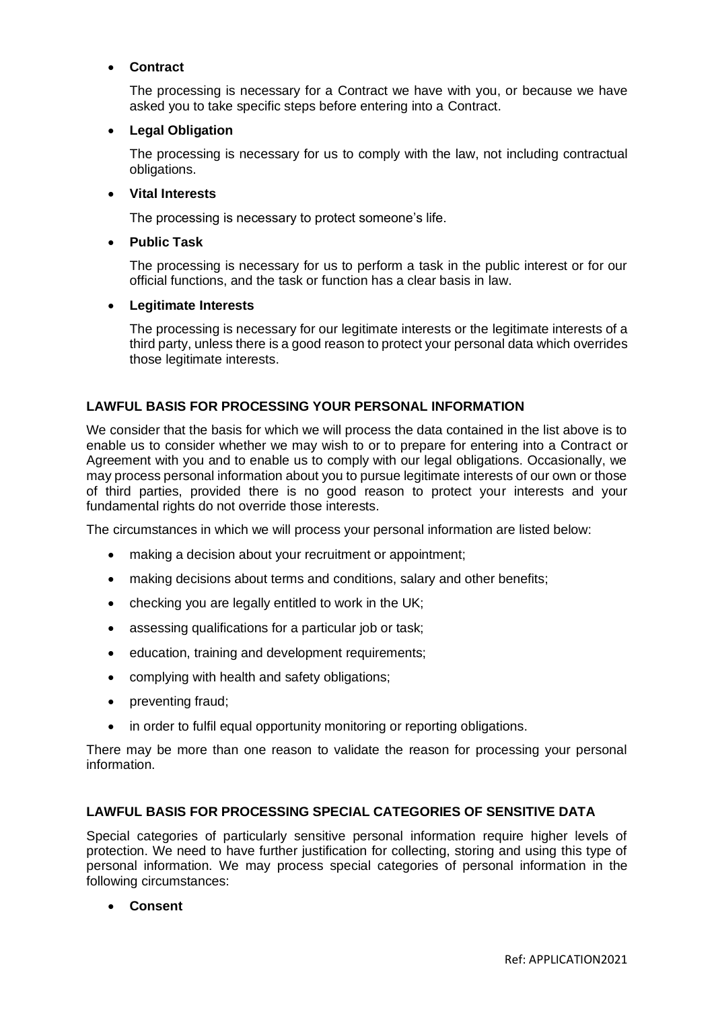# • **Contract**

The processing is necessary for a Contract we have with you, or because we have asked you to take specific steps before entering into a Contract.

# • **Legal Obligation**

The processing is necessary for us to comply with the law, not including contractual obligations.

# • **Vital Interests**

The processing is necessary to protect someone's life.

# • **Public Task**

The processing is necessary for us to perform a task in the public interest or for our official functions, and the task or function has a clear basis in law.

# • **Legitimate Interests**

The processing is necessary for our legitimate interests or the legitimate interests of a third party, unless there is a good reason to protect your personal data which overrides those legitimate interests.

# **LAWFUL BASIS FOR PROCESSING YOUR PERSONAL INFORMATION**

We consider that the basis for which we will process the data contained in the list above is to enable us to consider whether we may wish to or to prepare for entering into a Contract or Agreement with you and to enable us to comply with our legal obligations. Occasionally, we may process personal information about you to pursue legitimate interests of our own or those of third parties, provided there is no good reason to protect your interests and your fundamental rights do not override those interests.

The circumstances in which we will process your personal information are listed below:

- making a decision about your recruitment or appointment;
- making decisions about terms and conditions, salary and other benefits;
- checking you are legally entitled to work in the UK;
- assessing qualifications for a particular job or task;
- education, training and development requirements;
- complying with health and safety obligations;
- preventing fraud;
- in order to fulfil equal opportunity monitoring or reporting obligations.

There may be more than one reason to validate the reason for processing your personal information.

# **LAWFUL BASIS FOR PROCESSING SPECIAL CATEGORIES OF SENSITIVE DATA**

Special categories of particularly sensitive personal information require higher levels of protection. We need to have further justification for collecting, storing and using this type of personal information. We may process special categories of personal information in the following circumstances:

• **Consent**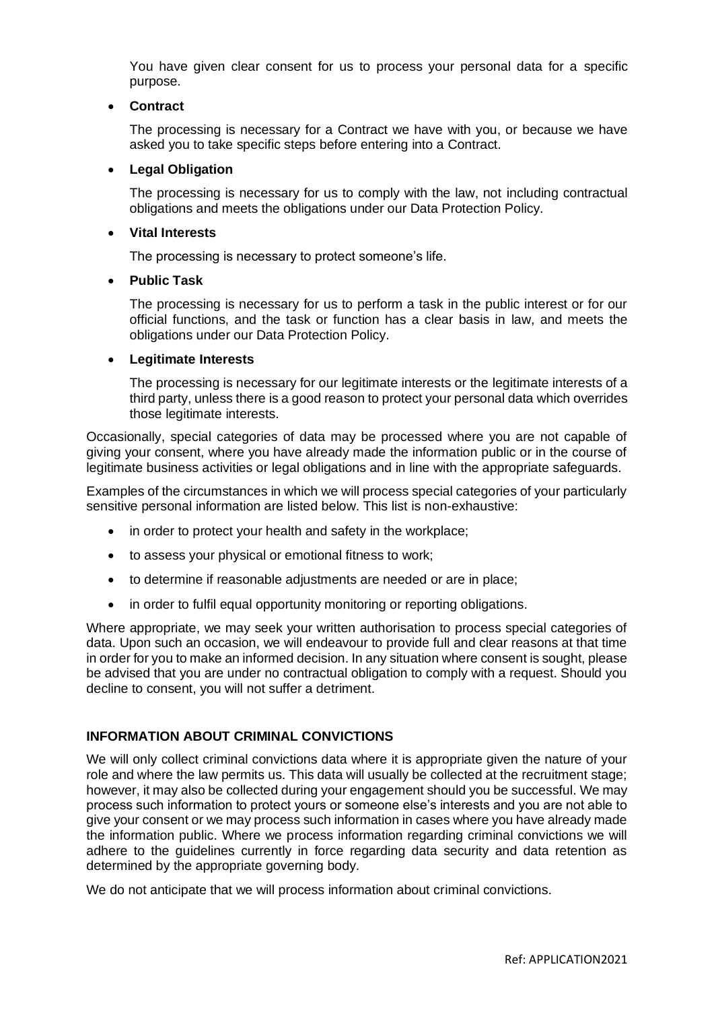You have given clear consent for us to process your personal data for a specific purpose.

#### • **Contract**

The processing is necessary for a Contract we have with you, or because we have asked you to take specific steps before entering into a Contract.

#### • **Legal Obligation**

The processing is necessary for us to comply with the law, not including contractual obligations and meets the obligations under our Data Protection Policy.

#### • **Vital Interests**

The processing is necessary to protect someone's life.

#### • **Public Task**

The processing is necessary for us to perform a task in the public interest or for our official functions, and the task or function has a clear basis in law, and meets the obligations under our Data Protection Policy.

#### • **Legitimate Interests**

The processing is necessary for our legitimate interests or the legitimate interests of a third party, unless there is a good reason to protect your personal data which overrides those legitimate interests.

Occasionally, special categories of data may be processed where you are not capable of giving your consent, where you have already made the information public or in the course of legitimate business activities or legal obligations and in line with the appropriate safeguards.

Examples of the circumstances in which we will process special categories of your particularly sensitive personal information are listed below. This list is non-exhaustive:

- in order to protect your health and safety in the workplace;
- to assess your physical or emotional fitness to work;
- to determine if reasonable adjustments are needed or are in place;
- in order to fulfil equal opportunity monitoring or reporting obligations.

Where appropriate, we may seek your written authorisation to process special categories of data. Upon such an occasion, we will endeavour to provide full and clear reasons at that time in order for you to make an informed decision. In any situation where consent is sought, please be advised that you are under no contractual obligation to comply with a request. Should you decline to consent, you will not suffer a detriment.

# **INFORMATION ABOUT CRIMINAL CONVICTIONS**

We will only collect criminal convictions data where it is appropriate given the nature of your role and where the law permits us. This data will usually be collected at the recruitment stage; however, it may also be collected during your engagement should you be successful. We may process such information to protect yours or someone else's interests and you are not able to give your consent or we may process such information in cases where you have already made the information public. Where we process information regarding criminal convictions we will adhere to the guidelines currently in force regarding data security and data retention as determined by the appropriate governing body.

We do not anticipate that we will process information about criminal convictions.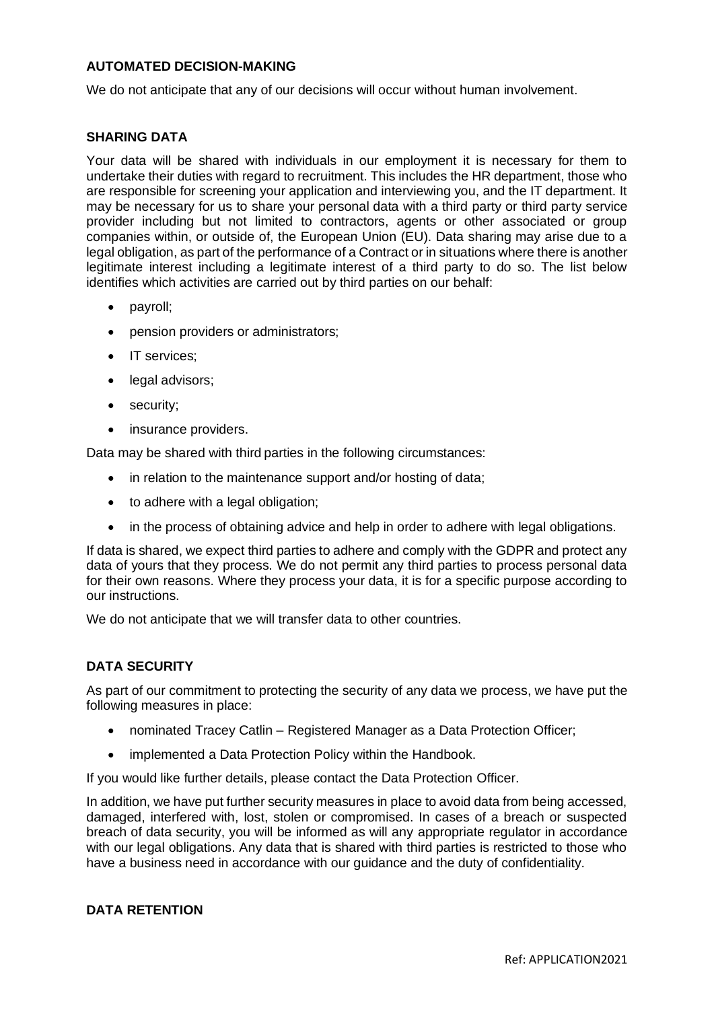### **AUTOMATED DECISION-MAKING**

We do not anticipate that any of our decisions will occur without human involvement.

#### **SHARING DATA**

Your data will be shared with individuals in our employment it is necessary for them to undertake their duties with regard to recruitment. This includes the HR department, those who are responsible for screening your application and interviewing you, and the IT department. It may be necessary for us to share your personal data with a third party or third party service provider including but not limited to contractors, agents or other associated or group companies within, or outside of, the European Union (EU). Data sharing may arise due to a legal obligation, as part of the performance of a Contract or in situations where there is another legitimate interest including a legitimate interest of a third party to do so. The list below identifies which activities are carried out by third parties on our behalf:

- payroll;
- pension providers or administrators;
- IT services;
- legal advisors;
- security:
- insurance providers.

Data may be shared with third parties in the following circumstances:

- in relation to the maintenance support and/or hosting of data;
- to adhere with a legal obligation;
- in the process of obtaining advice and help in order to adhere with legal obligations.

If data is shared, we expect third parties to adhere and comply with the GDPR and protect any data of yours that they process. We do not permit any third parties to process personal data for their own reasons. Where they process your data, it is for a specific purpose according to our instructions.

We do not anticipate that we will transfer data to other countries.

#### **DATA SECURITY**

As part of our commitment to protecting the security of any data we process, we have put the following measures in place:

- nominated Tracey Catlin Registered Manager as a Data Protection Officer;
- implemented a Data Protection Policy within the Handbook.

If you would like further details, please contact the Data Protection Officer.

In addition, we have put further security measures in place to avoid data from being accessed, damaged, interfered with, lost, stolen or compromised. In cases of a breach or suspected breach of data security, you will be informed as will any appropriate regulator in accordance with our legal obligations. Any data that is shared with third parties is restricted to those who have a business need in accordance with our guidance and the duty of confidentiality.

#### **DATA RETENTION**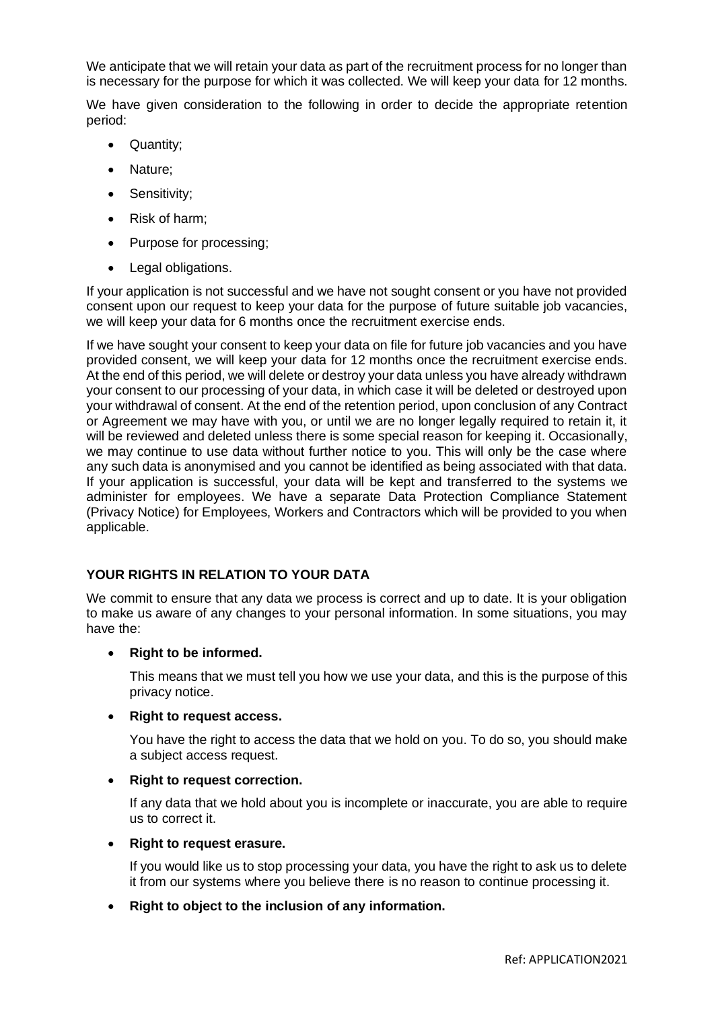We anticipate that we will retain your data as part of the recruitment process for no longer than is necessary for the purpose for which it was collected. We will keep your data for 12 months.

We have given consideration to the following in order to decide the appropriate retention period:

- Quantity;
- Nature;
- Sensitivity;
- Risk of harm;
- Purpose for processing;
- Legal obligations.

If your application is not successful and we have not sought consent or you have not provided consent upon our request to keep your data for the purpose of future suitable job vacancies, we will keep your data for 6 months once the recruitment exercise ends.

If we have sought your consent to keep your data on file for future job vacancies and you have provided consent, we will keep your data for 12 months once the recruitment exercise ends. At the end of this period, we will delete or destroy your data unless you have already withdrawn your consent to our processing of your data, in which case it will be deleted or destroyed upon your withdrawal of consent. At the end of the retention period, upon conclusion of any Contract or Agreement we may have with you, or until we are no longer legally required to retain it, it will be reviewed and deleted unless there is some special reason for keeping it. Occasionally, we may continue to use data without further notice to you. This will only be the case where any such data is anonymised and you cannot be identified as being associated with that data. If your application is successful, your data will be kept and transferred to the systems we administer for employees. We have a separate Data Protection Compliance Statement (Privacy Notice) for Employees, Workers and Contractors which will be provided to you when applicable.

# **YOUR RIGHTS IN RELATION TO YOUR DATA**

We commit to ensure that any data we process is correct and up to date. It is your obligation to make us aware of any changes to your personal information. In some situations, you may have the:

• **Right to be informed.**

This means that we must tell you how we use your data, and this is the purpose of this privacy notice.

#### • **Right to request access.**

You have the right to access the data that we hold on you. To do so, you should make a subject access request.

# • **Right to request correction.**

If any data that we hold about you is incomplete or inaccurate, you are able to require us to correct it.

• **Right to request erasure.**

If you would like us to stop processing your data, you have the right to ask us to delete it from our systems where you believe there is no reason to continue processing it.

• **Right to object to the inclusion of any information.**